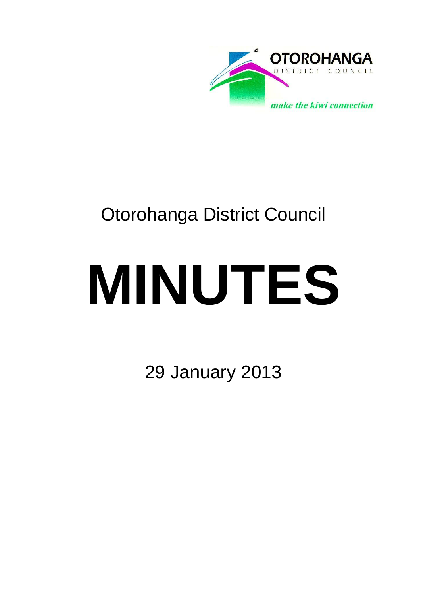

## Otorohanga District Council

# **MINUTES**

29 January 2013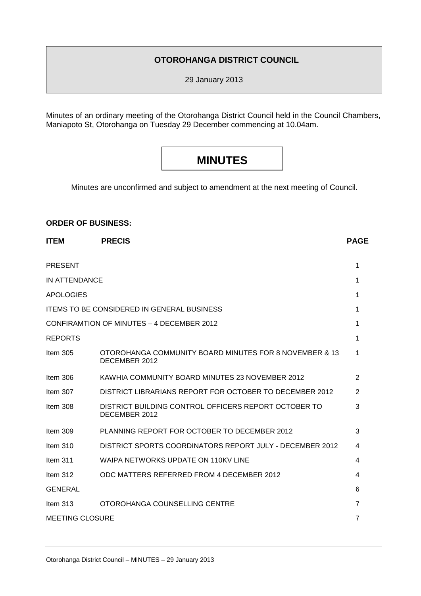#### **OTOROHANGA DISTRICT COUNCIL**

29 January 2013

Minutes of an ordinary meeting of the Otorohanga District Council held in the Council Chambers, Maniapoto St, Otorohanga on Tuesday 29 December commencing at 10.04am.

### **MINUTES**

Minutes are unconfirmed and subject to amendment at the next meeting of Council.

#### **ORDER OF BUSINESS:**

| <b>ITEM</b>                               | <b>PRECIS</b>                                                           | <b>PAGE</b>    |
|-------------------------------------------|-------------------------------------------------------------------------|----------------|
| <b>PRESENT</b>                            |                                                                         | 1              |
| IN ATTENDANCE                             |                                                                         | 1              |
| <b>APOLOGIES</b>                          |                                                                         | 1              |
|                                           | <b>ITEMS TO BE CONSIDERED IN GENERAL BUSINESS</b>                       | 1              |
| CONFIRAMTION OF MINUTES - 4 DECEMBER 2012 |                                                                         | 1              |
| <b>REPORTS</b>                            |                                                                         | 1              |
| Item $305$                                | OTOROHANGA COMMUNITY BOARD MINUTES FOR 8 NOVEMBER & 13<br>DECEMBER 2012 | 1              |
| Item $306$                                | KAWHIA COMMUNITY BOARD MINUTES 23 NOVEMBER 2012                         | 2              |
| Item 307                                  | DISTRICT LIBRARIANS REPORT FOR OCTOBER TO DECEMBER 2012                 | 2              |
| Item 308                                  | DISTRICT BUILDING CONTROL OFFICERS REPORT OCTOBER TO<br>DECEMBER 2012   | 3              |
| Item $309$                                | PLANNING REPORT FOR OCTOBER TO DECEMBER 2012                            | 3              |
| Item $310$                                | DISTRICT SPORTS COORDINATORS REPORT JULY - DECEMBER 2012                | 4              |
| Item $311$                                | WAIPA NETWORKS UPDATE ON 110KV LINE                                     | 4              |
| Item $312$                                | ODC MATTERS REFERRED FROM 4 DECEMBER 2012                               | 4              |
| <b>GENERAL</b>                            |                                                                         | 6              |
| Item $313$                                | OTOROHANGA COUNSELLING CENTRE                                           | 7              |
| <b>MEETING CLOSURE</b>                    |                                                                         | $\overline{7}$ |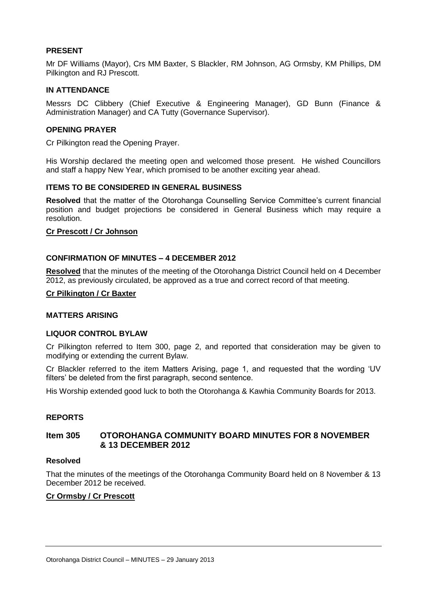#### **PRESENT**

Mr DF Williams (Mayor), Crs MM Baxter, S Blackler, RM Johnson, AG Ormsby, KM Phillips, DM Pilkington and RJ Prescott.

#### **IN ATTENDANCE**

Messrs DC Clibbery (Chief Executive & Engineering Manager), GD Bunn (Finance & Administration Manager) and CA Tutty (Governance Supervisor).

#### **OPENING PRAYER**

Cr Pilkington read the Opening Prayer.

His Worship declared the meeting open and welcomed those present. He wished Councillors and staff a happy New Year, which promised to be another exciting year ahead.

#### **ITEMS TO BE CONSIDERED IN GENERAL BUSINESS**

**Resolved** that the matter of the Otorohanga Counselling Service Committee's current financial position and budget projections be considered in General Business which may require a resolution.

#### **Cr Prescott / Cr Johnson**

#### **CONFIRMATION OF MINUTES – 4 DECEMBER 2012**

**Resolved** that the minutes of the meeting of the Otorohanga District Council held on 4 December 2012, as previously circulated, be approved as a true and correct record of that meeting.

#### **Cr Pilkington / Cr Baxter**

#### **MATTERS ARISING**

#### **LIQUOR CONTROL BYLAW**

Cr Pilkington referred to Item 300, page 2, and reported that consideration may be given to modifying or extending the current Bylaw.

Cr Blackler referred to the item Matters Arising, page 1, and requested that the wording 'UV filters' be deleted from the first paragraph, second sentence.

His Worship extended good luck to both the Otorohanga & Kawhia Community Boards for 2013.

#### **REPORTS**

#### **Item 305 OTOROHANGA COMMUNITY BOARD MINUTES FOR 8 NOVEMBER & 13 DECEMBER 2012**

#### **Resolved**

That the minutes of the meetings of the Otorohanga Community Board held on 8 November & 13 December 2012 be received.

#### **Cr Ormsby / Cr Prescott**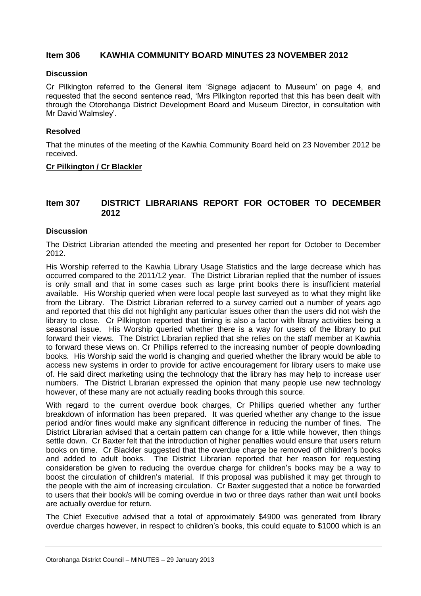#### **Item 306 KAWHIA COMMUNITY BOARD MINUTES 23 NOVEMBER 2012**

#### **Discussion**

Cr Pilkington referred to the General item 'Signage adjacent to Museum' on page 4, and requested that the second sentence read, 'Mrs Pilkington reported that this has been dealt with through the Otorohanga District Development Board and Museum Director, in consultation with Mr David Walmsley'.

#### **Resolved**

That the minutes of the meeting of the Kawhia Community Board held on 23 November 2012 be received.

#### **Cr Pilkington / Cr Blackler**

#### **Item 307 DISTRICT LIBRARIANS REPORT FOR OCTOBER TO DECEMBER 2012**

#### **Discussion**

The District Librarian attended the meeting and presented her report for October to December 2012.

His Worship referred to the Kawhia Library Usage Statistics and the large decrease which has occurred compared to the 2011/12 year. The District Librarian replied that the number of issues is only small and that in some cases such as large print books there is insufficient material available. His Worship queried when were local people last surveyed as to what they might like from the Library. The District Librarian referred to a survey carried out a number of years ago and reported that this did not highlight any particular issues other than the users did not wish the library to close. Cr Pilkington reported that timing is also a factor with library activities being a seasonal issue. His Worship queried whether there is a way for users of the library to put forward their views. The District Librarian replied that she relies on the staff member at Kawhia to forward these views on. Cr Phillips referred to the increasing number of people downloading books. His Worship said the world is changing and queried whether the library would be able to access new systems in order to provide for active encouragement for library users to make use of. He said direct marketing using the technology that the library has may help to increase user numbers. The District Librarian expressed the opinion that many people use new technology however, of these many are not actually reading books through this source.

With regard to the current overdue book charges, Cr Phillips queried whether any further breakdown of information has been prepared. It was queried whether any change to the issue period and/or fines would make any significant difference in reducing the number of fines. The District Librarian advised that a certain pattern can change for a little while however, then things settle down. Cr Baxter felt that the introduction of higher penalties would ensure that users return books on time. Cr Blackler suggested that the overdue charge be removed off children's books and added to adult books. The District Librarian reported that her reason for requesting consideration be given to reducing the overdue charge for children's books may be a way to boost the circulation of children's material. If this proposal was published it may get through to the people with the aim of increasing circulation. Cr Baxter suggested that a notice be forwarded to users that their book/s will be coming overdue in two or three days rather than wait until books are actually overdue for return.

The Chief Executive advised that a total of approximately \$4900 was generated from library overdue charges however, in respect to children's books, this could equate to \$1000 which is an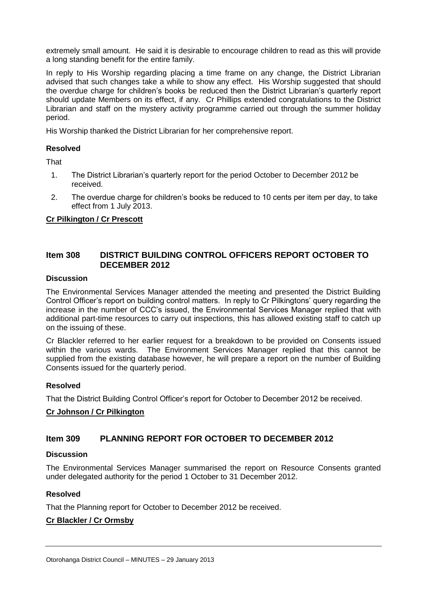extremely small amount. He said it is desirable to encourage children to read as this will provide a long standing benefit for the entire family.

In reply to His Worship regarding placing a time frame on any change, the District Librarian advised that such changes take a while to show any effect. His Worship suggested that should the overdue charge for children's books be reduced then the District Librarian's quarterly report should update Members on its effect, if any. Cr Phillips extended congratulations to the District Librarian and staff on the mystery activity programme carried out through the summer holiday period.

His Worship thanked the District Librarian for her comprehensive report.

#### **Resolved**

**That** 

- 1. The District Librarian's quarterly report for the period October to December 2012 be received.
- 2. The overdue charge for children's books be reduced to 10 cents per item per day, to take effect from 1 July 2013.

#### **Cr Pilkington / Cr Prescott**

#### **Item 308 DISTRICT BUILDING CONTROL OFFICERS REPORT OCTOBER TO DECEMBER 2012**

#### **Discussion**

The Environmental Services Manager attended the meeting and presented the District Building Control Officer's report on building control matters. In reply to Cr Pilkingtons' query regarding the increase in the number of CCC's issued, the Environmental Services Manager replied that with additional part-time resources to carry out inspections, this has allowed existing staff to catch up on the issuing of these.

Cr Blackler referred to her earlier request for a breakdown to be provided on Consents issued within the various wards. The Environment Services Manager replied that this cannot be supplied from the existing database however, he will prepare a report on the number of Building Consents issued for the quarterly period.

#### **Resolved**

That the District Building Control Officer's report for October to December 2012 be received.

#### **Cr Johnson / Cr Pilkington**

#### **Item 309 PLANNING REPORT FOR OCTOBER TO DECEMBER 2012**

#### **Discussion**

The Environmental Services Manager summarised the report on Resource Consents granted under delegated authority for the period 1 October to 31 December 2012.

#### **Resolved**

That the Planning report for October to December 2012 be received.

#### **Cr Blackler / Cr Ormsby**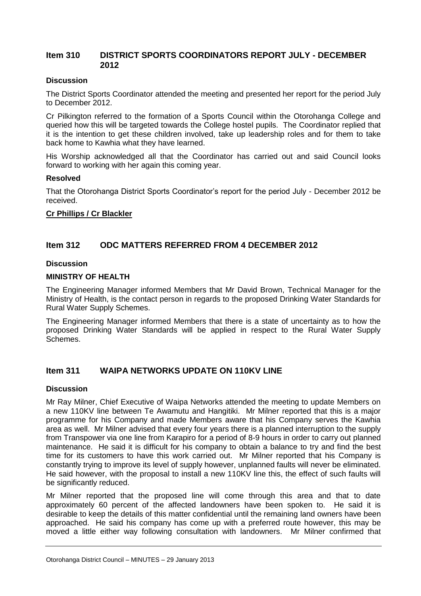#### **Item 310 DISTRICT SPORTS COORDINATORS REPORT JULY - DECEMBER 2012**

#### **Discussion**

The District Sports Coordinator attended the meeting and presented her report for the period July to December 2012.

Cr Pilkington referred to the formation of a Sports Council within the Otorohanga College and queried how this will be targeted towards the College hostel pupils. The Coordinator replied that it is the intention to get these children involved, take up leadership roles and for them to take back home to Kawhia what they have learned.

His Worship acknowledged all that the Coordinator has carried out and said Council looks forward to working with her again this coming year.

#### **Resolved**

That the Otorohanga District Sports Coordinator's report for the period July - December 2012 be received.

#### **Cr Phillips / Cr Blackler**

#### **Item 312 ODC MATTERS REFERRED FROM 4 DECEMBER 2012**

#### **Discussion**

#### **MINISTRY OF HEALTH**

The Engineering Manager informed Members that Mr David Brown, Technical Manager for the Ministry of Health, is the contact person in regards to the proposed Drinking Water Standards for Rural Water Supply Schemes.

The Engineering Manager informed Members that there is a state of uncertainty as to how the proposed Drinking Water Standards will be applied in respect to the Rural Water Supply Schemes.

#### **Item 311 WAIPA NETWORKS UPDATE ON 110KV LINE**

#### **Discussion**

Mr Ray Milner, Chief Executive of Waipa Networks attended the meeting to update Members on a new 110KV line between Te Awamutu and Hangitiki. Mr Milner reported that this is a major programme for his Company and made Members aware that his Company serves the Kawhia area as well. Mr Milner advised that every four years there is a planned interruption to the supply from Transpower via one line from Karapiro for a period of 8-9 hours in order to carry out planned maintenance. He said it is difficult for his company to obtain a balance to try and find the best time for its customers to have this work carried out. Mr Milner reported that his Company is constantly trying to improve its level of supply however, unplanned faults will never be eliminated. He said however, with the proposal to install a new 110KV line this, the effect of such faults will be significantly reduced.

Mr Milner reported that the proposed line will come through this area and that to date approximately 60 percent of the affected landowners have been spoken to. He said it is desirable to keep the details of this matter confidential until the remaining land owners have been approached. He said his company has come up with a preferred route however, this may be moved a little either way following consultation with landowners. Mr Milner confirmed that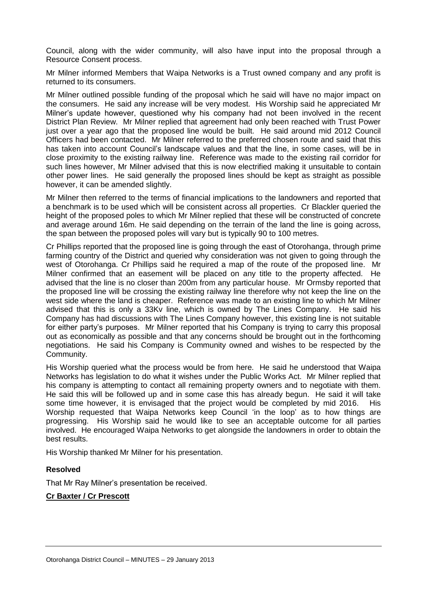Council, along with the wider community, will also have input into the proposal through a Resource Consent process.

Mr Milner informed Members that Waipa Networks is a Trust owned company and any profit is returned to its consumers.

Mr Milner outlined possible funding of the proposal which he said will have no major impact on the consumers. He said any increase will be very modest. His Worship said he appreciated Mr Milner's update however, questioned why his company had not been involved in the recent District Plan Review. Mr Milner replied that agreement had only been reached with Trust Power just over a year ago that the proposed line would be built. He said around mid 2012 Council Officers had been contacted. Mr Milner referred to the preferred chosen route and said that this has taken into account Council's landscape values and that the line, in some cases, will be in close proximity to the existing railway line. Reference was made to the existing rail corridor for such lines however, Mr Milner advised that this is now electrified making it unsuitable to contain other power lines. He said generally the proposed lines should be kept as straight as possible however, it can be amended slightly.

Mr Milner then referred to the terms of financial implications to the landowners and reported that a benchmark is to be used which will be consistent across all properties. Cr Blackler queried the height of the proposed poles to which Mr Milner replied that these will be constructed of concrete and average around 16m. He said depending on the terrain of the land the line is going across, the span between the proposed poles will vary but is typically 90 to 100 metres.

Cr Phillips reported that the proposed line is going through the east of Otorohanga, through prime farming country of the District and queried why consideration was not given to going through the west of Otorohanga. Cr Phillips said he required a map of the route of the proposed line. Mr Milner confirmed that an easement will be placed on any title to the property affected. He advised that the line is no closer than 200m from any particular house. Mr Ormsby reported that the proposed line will be crossing the existing railway line therefore why not keep the line on the west side where the land is cheaper. Reference was made to an existing line to which Mr Milner advised that this is only a 33Kv line, which is owned by The Lines Company. He said his Company has had discussions with The Lines Company however, this existing line is not suitable for either party's purposes. Mr Milner reported that his Company is trying to carry this proposal out as economically as possible and that any concerns should be brought out in the forthcoming negotiations. He said his Company is Community owned and wishes to be respected by the Community.

His Worship queried what the process would be from here. He said he understood that Waipa Networks has legislation to do what it wishes under the Public Works Act. Mr Milner replied that his company is attempting to contact all remaining property owners and to negotiate with them. He said this will be followed up and in some case this has already begun. He said it will take some time however, it is envisaged that the project would be completed by mid 2016. His Worship requested that Waipa Networks keep Council 'in the loop' as to how things are progressing. His Worship said he would like to see an acceptable outcome for all parties involved. He encouraged Waipa Networks to get alongside the landowners in order to obtain the best results.

His Worship thanked Mr Milner for his presentation.

#### **Resolved**

That Mr Ray Milner's presentation be received.

#### **Cr Baxter / Cr Prescott**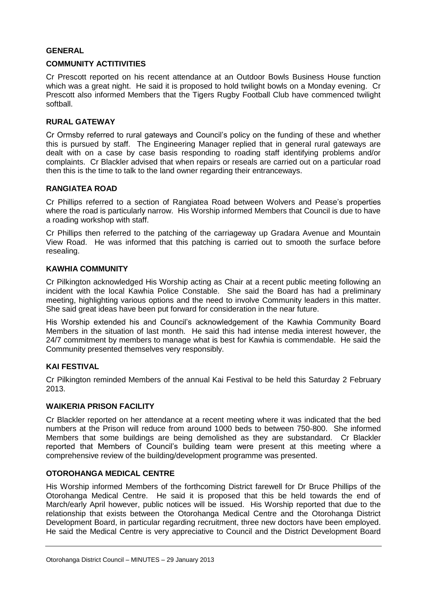#### **GENERAL**

#### **COMMUNITY ACTITIVITIES**

Cr Prescott reported on his recent attendance at an Outdoor Bowls Business House function which was a great night. He said it is proposed to hold twilight bowls on a Monday evening. Cr Prescott also informed Members that the Tigers Rugby Football Club have commenced twilight softball.

#### **RURAL GATEWAY**

Cr Ormsby referred to rural gateways and Council's policy on the funding of these and whether this is pursued by staff. The Engineering Manager replied that in general rural gateways are dealt with on a case by case basis responding to roading staff identifying problems and/or complaints. Cr Blackler advised that when repairs or reseals are carried out on a particular road then this is the time to talk to the land owner regarding their entranceways.

#### **RANGIATEA ROAD**

Cr Phillips referred to a section of Rangiatea Road between Wolvers and Pease's properties where the road is particularly narrow. His Worship informed Members that Council is due to have a roading workshop with staff.

Cr Phillips then referred to the patching of the carriageway up Gradara Avenue and Mountain View Road. He was informed that this patching is carried out to smooth the surface before resealing.

#### **KAWHIA COMMUNITY**

Cr Pilkington acknowledged His Worship acting as Chair at a recent public meeting following an incident with the local Kawhia Police Constable. She said the Board has had a preliminary meeting, highlighting various options and the need to involve Community leaders in this matter. She said great ideas have been put forward for consideration in the near future.

His Worship extended his and Council's acknowledgement of the Kawhia Community Board Members in the situation of last month. He said this had intense media interest however, the 24/7 commitment by members to manage what is best for Kawhia is commendable. He said the Community presented themselves very responsibly.

#### **KAI FESTIVAL**

Cr Pilkington reminded Members of the annual Kai Festival to be held this Saturday 2 February 2013.

#### **WAIKERIA PRISON FACILITY**

Cr Blackler reported on her attendance at a recent meeting where it was indicated that the bed numbers at the Prison will reduce from around 1000 beds to between 750-800. She informed Members that some buildings are being demolished as they are substandard. Cr Blackler reported that Members of Council's building team were present at this meeting where a comprehensive review of the building/development programme was presented.

#### **OTOROHANGA MEDICAL CENTRE**

His Worship informed Members of the forthcoming District farewell for Dr Bruce Phillips of the Otorohanga Medical Centre. He said it is proposed that this be held towards the end of March/early April however, public notices will be issued. His Worship reported that due to the relationship that exists between the Otorohanga Medical Centre and the Otorohanga District Development Board, in particular regarding recruitment, three new doctors have been employed. He said the Medical Centre is very appreciative to Council and the District Development Board